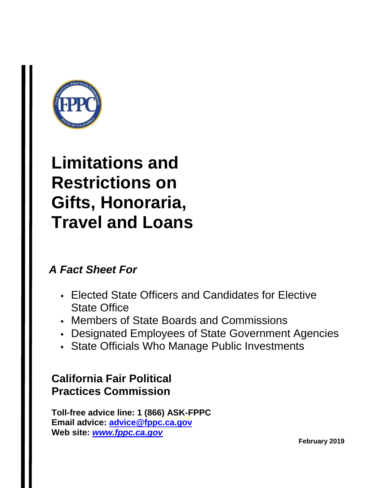

### **Limitations and Restrictions on Gifts, Honoraria, Travel and Loans**

### *A Fact Sheet For*

- Elected State Officers and Candidates for Elective State Office
- Members of State Boards and Commissions
- Designated Employees of State Government Agencies
- State Officials Who Manage Public Investments

### **California Fair Political Practices Commission**

**Toll-free advice line: 1 (866) ASK-FPPC Email advice: [advice@fppc.ca.gov](mailto:advice@fppc.ca.gov) Web site:** *[www.fppc.ca.gov](http://www.fppc.ca.gov/)*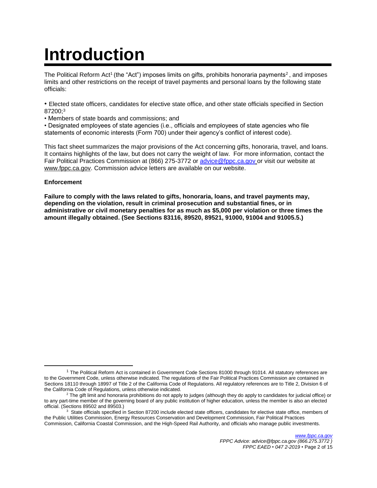# **Introduction**

The Political Reform Act<sup>1</sup> (the "Act") imposes limits on gifts, prohibits honoraria payments<sup>2</sup>, and imposes limits and other restrictions on the receipt of travel payments and personal loans by the following state officials:

• Elected state officers, candidates for elective state office, and other state officials specified in Section 87200; 3

• Members of state boards and commissions; and

• Designated employees of state agencies (i.e., officials and employees of state agencies who file statements of economic interests (Form 700) under their agency's conflict of interest code).

This fact sheet summarizes the major provisions of the Act concerning gifts, honoraria, travel, and loans. It contains highlights of the law, but does not carry the weight of law. For more information, contact the Fair Political Practices Commission at (866) 275-3772 or [advice@fppc.ca.gov](mailto:advice@fppc.ca.gov) or visit our website at www.fppc.ca.gov. Commission advice letters are available on our website.

#### **Enforcement**

l

**Failure to comply with the laws related to gifts, honoraria, loans, and travel payments may, depending on the violation, result in criminal prosecution and substantial fines, or in administrative or civil monetary penalties for as much as \$5,000 per violation or three times the amount illegally obtained. (See Sections 83116, 89520, 89521, 91000, 91004 and 91005.5.)** 

<sup>1</sup> The Political Reform Act is contained in Government Code Sections 81000 through 91014. All statutory references are to the Government Code, unless otherwise indicated. The regulations of the Fair Political Practices Commission are contained in Sections 18110 through 18997 of Title 2 of the California Code of Regulations. All regulatory references are to Title 2, Division 6 of the California Code of Regulations, unless otherwise indicated.

 $2$  The gift limit and honoraria prohibitions do not apply to judges (although they do apply to candidates for judicial office) or to any part-time member of the governing board of any public institution of higher education, unless the member is also an elected official. (Sections 89502 and 89503.)

<sup>&</sup>lt;sup>3</sup> State officials specified in Section 87200 include elected state officers, candidates for elective state office, members of the Public Utilities Commission, Energy Resources Conservation and Development Commission, Fair Political Practices Commission, California Coastal Commission, and the High-Speed Rail Authority, and officials who manage public investments.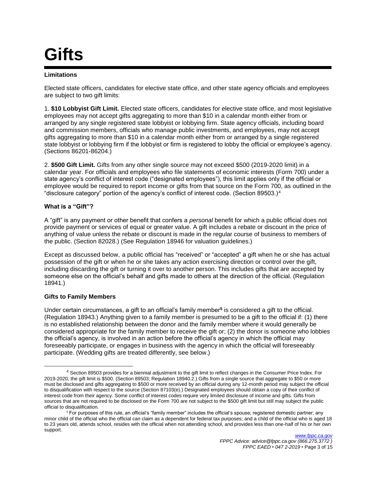### **Gifts**

#### **Limitations**

Elected state officers, candidates for elective state office, and other state agency officials and employees are subject to two gift limits:

1. **\$10 Lobbyist Gift Limit.** Elected state officers, candidates for elective state office, and most legislative employees may not accept gifts aggregating to more than \$10 in a calendar month either from or arranged by any single registered state lobbyist or lobbying firm. State agency officials, including board and commission members, officials who manage public investments, and employees, may not accept gifts aggregating to more than \$10 in a calendar month either from or arranged by a single registered state lobbyist or lobbying firm if the lobbyist or firm is registered to lobby the official or employee's agency. (Sections 86201-86204.)

2. **\$500 Gift Limit.** Gifts from any other single source may not exceed \$500 (2019-2020 limit) in a calendar year. For officials and employees who file statements of economic interests (Form 700) under a state agency's conflict of interest code ("designated employees"), this limit applies only if the official or employee would be required to report income or gifts from that source on the Form 700, as outlined in the "disclosure category" portion of the agency's conflict of interest code. (Section 89503.)<sup>4</sup>

#### **What is a "Gift"?**

A "gift" is any payment or other benefit that confers a *personal* benefit for which a public official does not provide payment or services of equal or greater value. A gift includes a rebate or discount in the price of anything of value unless the rebate or discount is made in the regular course of business to members of the public. (Section 82028.) (See Regulation 18946 for valuation guidelines.)

Except as discussed below, a public official has "received" or "accepted" a gift when he or she has actual possession of the gift or when he or she takes any action exercising direction or control over the gift, including discarding the gift or turning it over to another person. This includes gifts that are accepted by someone else on the official's behalf and gifts made to others at the direction of the official. (Regulation 18941.)

#### **Gifts to Family Members**

 $\overline{a}$ 

Under certain circumstances, a gift to an official's family member**<sup>5</sup>** is considered a gift to the official. (Regulation 18943.) Anything given to a family member is presumed to be a gift to the official if: (1) there is no established relationship between the donor and the family member where it would generally be considered appropriate for the family member to receive the gift or; (2) the donor is someone who lobbies the official's agency, is involved in an action before the official's agency in which the official may foreseeably participate, or engages in business with the agency in which the official will foreseeably participate. (Wedding gifts are treated differently, see below.)

<sup>4</sup> Section 89503 provides for a biennial adjustment to the gift limit to reflect changes in the Consumer Price Index. For 2019-2020, the gift limit is \$500. (Section 89503; Regulation 18940.2.) Gifts from a single source that aggregate to \$50 or more must be disclosed and gifts aggregating to \$500 or more received by an official during any 12-month period may subject the official to disqualification with respect to the source (Section 87103(e).) Designated employees should obtain a copy of their conflict of interest code from their agency. Some conflict of interest codes require very limited disclosure of income and gifts. Gifts from sources that are not required to be disclosed on the Form 700 are not subject to the \$500 gift limit but still may subject the public official to disqualification.

<sup>&</sup>lt;sup>5</sup> For purposes of this rule, an official's "family member" includes the official's spouse; registered domestic partner; any minor child of the official who the official can claim as a dependent for federal tax purposes; and a child of the official who is aged 18 to 23 years old, attends school, resides with the official when not attending school, and provides less than one-half of his or her own support.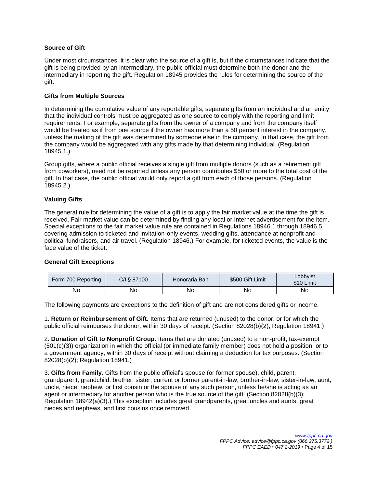#### **Source of Gift**

Under most circumstances, it is clear who the source of a gift is, but if the circumstances indicate that the gift is being provided by an intermediary, the public official must determine both the donor and the intermediary in reporting the gift. Regulation 18945 provides the rules for determining the source of the gift.

#### **Gifts from Multiple Sources**

In determining the cumulative value of any reportable gifts, separate gifts from an individual and an entity that the individual controls must be aggregated as one source to comply with the reporting and limit requirements. For example, separate gifts from the owner of a company and from the company itself would be treated as if from one source if the owner has more than a 50 percent interest in the company, unless the making of the gift was determined by someone else in the company. In that case, the gift from the company would be aggregated with any gifts made by that determining individual. (Regulation 18945.1.)

Group gifts, where a public official receives a single gift from multiple donors (such as a retirement gift from coworkers), need not be reported unless any person contributes \$50 or more to the total cost of the gift. In that case, the public official would only report a gift from each of those persons. (Regulation 18945.2.)

#### **Valuing Gifts**

The general rule for determining the value of a gift is to apply the fair market value at the time the gift is received. Fair market value can be determined by finding any local or Internet advertisement for the item. Special exceptions to the fair market value rule are contained in Regulations 18946.1 through 18946.5 covering admission to ticketed and invitation-only events, wedding gifts, attendance at nonprofit and political fundraisers, and air travel. (Regulation 18946.) For example, for ticketed events, the value is the face value of the ticket.

#### **General Gift Exceptions**

| Form 700 Reporting | C/I § 87100 | Honoraria Ban | \$500 Gift Limit | Lobbyist<br>\$10 Limit |
|--------------------|-------------|---------------|------------------|------------------------|
| No                 | No          | No.           | No               | Νo                     |

The following payments are exceptions to the definition of gift and are not considered gifts or income.

1. **Return or Reimbursement of Gift.** Items that are returned (unused) to the donor, or for which the public official reimburses the donor, within 30 days of receipt. (Section 82028(b)(2); Regulation 18941.)

2. **Donation of Gift to Nonprofit Group.** Items that are donated (unused) to a non-profit, tax-exempt (501(c)(3)) organization in which the official (or immediate family member) does not hold a position, or to a government agency, within 30 days of receipt without claiming a deduction for tax purposes. (Section 82028(b)(2); Regulation 18941.)

3. **Gifts from Family.** Gifts from the public official's spouse (or former spouse), child, parent, grandparent, grandchild, brother, sister, current or former parent-in-law, brother-in-law, sister-in-law, aunt, uncle, niece, nephew, or first cousin or the spouse of any such person, unless he/she is acting as an agent or intermediary for another person who is the true source of the gift. (Section 82028(b)(3); Regulation 18942(a)(3).) This exception includes great grandparents, great uncles and aunts, great nieces and nephews, and first cousins once removed.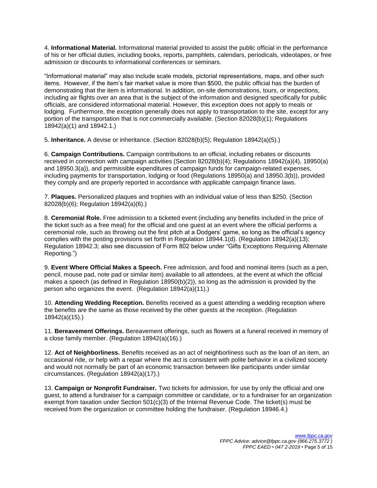4. **Informational Material.** Informational material provided to assist the public official in the performance of his or her official duties, including books, reports, pamphlets, calendars, periodicals, videotapes, or free admission or discounts to informational conferences or seminars.

"Informational material" may also include scale models, pictorial representations, maps, and other such items. However, if the item's fair market value is more than \$500, the public official has the burden of demonstrating that the item is informational. In addition, on-site demonstrations, tours, or inspections, including air flights over an area that is the subject of the information and designed specifically for public officials, are considered informational material. However, this exception does not apply to meals or lodging. Furthermore, the exception generally does not apply to transportation to the site, except for any portion of the transportation that is not commercially available. (Section 82028(b)(1); Regulations 18942(a)(1) and 18942.1.)

5. **Inheritance.** A devise or inheritance. (Section 82028(b)(5); Regulation 18942(a)(5).)

6. **Campaign Contributions.** Campaign contributions to an official, including rebates or discounts received in connection with campaign activities (Section 82028(b)(4); Regulations 18942(a)(4), 18950(a) and 18950.3(a)), and permissible expenditures of campaign funds for campaign-related expenses, including payments for transportation, lodging or food (Regulations 18950(a) and 18950.3(b)), provided they comply and are properly reported in accordance with applicable campaign finance laws.

7. **Plaques.** Personalized plaques and trophies with an individual value of less than \$250. (Section 82028(b)(6); Regulation 18942(a)(6).)

8. **Ceremonial Role.** Free admission to a ticketed event (including any benefits included in the price of the ticket such as a free meal) for the official and one guest at an event where the official performs a ceremonial role, such as throwing out the first pitch at a Dodgers' game, so long as the official's agency complies with the posting provisions set forth in Regulation 18944.1(d). (Regulation 18942(a)(13); Regulation 18942.3; also see discussion of Form 802 below under "Gifts Exceptions Requiring Alternate Reporting.")

9. **Event Where Official Makes a Speech.** Free admission, and food and nominal items (such as a pen, pencil, mouse pad, note pad or similar item) available to all attendees, at the event at which the official makes a speech (as defined in Regulation 18950(b)(2)), so long as the admission is provided by the person who organizes the event. (Regulation 18942(a)(11).)

10. **Attending Wedding Reception.** Benefits received as a guest attending a wedding reception where the benefits are the same as those received by the other guests at the reception. (Regulation 18942(a)(15).)

11. **Bereavement Offerings.** Bereavement offerings, such as flowers at a funeral received in memory of a close family member. (Regulation 18942(a)(16).)

12. **Act of Neighborliness.** Benefits received as an act of neighborliness such as the loan of an item, an occasional ride, or help with a repair where the act is consistent with polite behavior in a civilized society and would not normally be part of an economic transaction between like participants under similar circumstances. (Regulation 18942(a)(17).)

13. **Campaign or Nonprofit Fundraiser.** Two tickets for admission, for use by only the official and one guest, to attend a fundraiser for a campaign committee or candidate, or to a fundraiser for an organization exempt from taxation under Section 501(c)(3) of the Internal Revenue Code. The ticket(s) must be received from the organization or committee holding the fundraiser. (Regulation 18946.4.)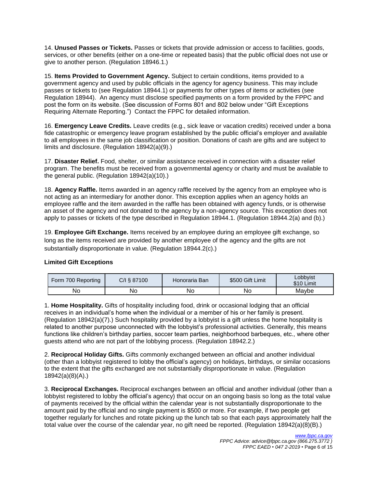14. **Unused Passes or Tickets.** Passes or tickets that provide admission or access to facilities, goods, services, or other benefits (either on a one-time or repeated basis) that the public official does not use or give to another person. (Regulation 18946.1.)

15. **Items Provided to Government Agency.** Subject to certain conditions, items provided to a government agency and used by public officials in the agency for agency business. This may include passes or tickets to (see Regulation 18944.1) or payments for other types of items or activities (see Regulation 18944). An agency must disclose specified payments on a form provided by the FPPC and post the form on its website. (See discussion of Forms 801 and 802 below under "Gift Exceptions Requiring Alternate Reporting.") Contact the FPPC for detailed information.

16. **Emergency Leave Credits.** Leave credits (e.g., sick leave or vacation credits) received under a bona fide catastrophic or emergency leave program established by the public official's employer and available to all employees in the same job classification or position. Donations of cash are gifts and are subject to limits and disclosure. (Regulation 18942(a)(9).)

17. **Disaster Relief.** Food, shelter, or similar assistance received in connection with a disaster relief program. The benefits must be received from a governmental agency or charity and must be available to the general public. (Regulation 18942(a)(10).)

18. **Agency Raffle.** Items awarded in an agency raffle received by the agency from an employee who is not acting as an intermediary for another donor. This exception applies when an agency holds an employee raffle and the item awarded in the raffle has been obtained with agency funds, or is otherwise an asset of the agency and not donated to the agency by a non-agency source. This exception does not apply to passes or tickets of the type described in Regulation 18944.1. (Regulation 18944.2(a) and (b).)

19. **Employee Gift Exchange.** Items received by an employee during an employee gift exchange, so long as the items received are provided by another employee of the agency and the gifts are not substantially disproportionate in value. (Regulation 18944.2(c).)

#### **Limited Gift Exceptions**

| Form 700 Reporting | C/I § 87100 | Honoraria Ban | \$500 Gift Limit | Lobbyist<br>\$10 Limit |
|--------------------|-------------|---------------|------------------|------------------------|
| N٥                 | No          | No            | No               | Maybe                  |

1. **Home Hospitality.** Gifts of hospitality including food, drink or occasional lodging that an official receives in an individual's home when the individual or a member of his or her family is present. (Regulation 18942(a)(7).) Such hospitality provided by a lobbyist is a gift unless the home hospitality is related to another purpose unconnected with the lobbyist's professional activities. Generally, this means functions like children's birthday parties, soccer team parties, neighborhood barbeques, etc., where other guests attend who are not part of the lobbying process. (Regulation 18942.2.)

2. **Reciprocal Holiday Gifts.** Gifts commonly exchanged between an official and another individual (other than a lobbyist registered to lobby the official's agency) on holidays, birthdays, or similar occasions to the extent that the gifts exchanged are not substantially disproportionate in value. (Regulation 18942(a)(8)(A).)

3. **Reciprocal Exchanges.** Reciprocal exchanges between an official and another individual (other than a lobbyist registered to lobby the official's agency) that occur on an ongoing basis so long as the total value of payments received by the official within the calendar year is not substantially disproportionate to the amount paid by the official and no single payment is \$500 or more. For example, if two people get together regularly for lunches and rotate picking up the lunch tab so that each pays approximately half the total value over the course of the calendar year, no gift need be reported. (Regulation 18942(a)(8)(B).)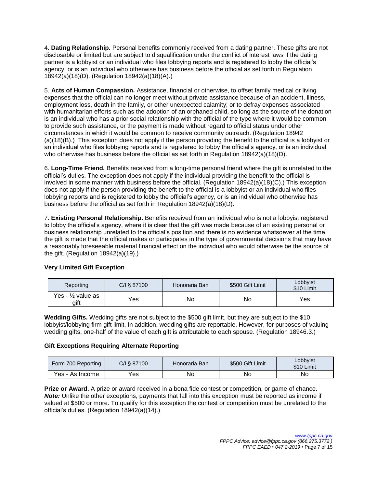4. **Dating Relationship.** Personal benefits commonly received from a dating partner. These gifts are not disclosable or limited but are subject to disqualification under the conflict of interest laws if the dating partner is a lobbyist or an individual who files lobbying reports and is registered to lobby the official's agency, or is an individual who otherwise has business before the official as set forth in Regulation 18942(a)(18)(D). (Regulation 18942(a)(18)(A).)

5. **Acts of Human Compassion.** Assistance, financial or otherwise, to offset family medical or living expenses that the official can no longer meet without private assistance because of an accident, illness, employment loss, death in the family, or other unexpected calamity; or to defray expenses associated with humanitarian efforts such as the adoption of an orphaned child, so long as the source of the donation is an individual who has a prior social relationship with the official of the type where it would be common to provide such assistance, or the payment is made without regard to official status under other circumstances in which it would be common to receive community outreach. (Regulation 18942 (a)(18)(B).) This exception does not apply if the person providing the benefit to the official is a lobbyist or an individual who files lobbying reports and is registered to lobby the official's agency, or is an individual who otherwise has business before the official as set forth in Regulation 18942(a)(18)(D).

6. **Long-Time Friend.** Benefits received from a long-time personal friend where the gift is unrelated to the official's duties. The exception does not apply if the individual providing the benefit to the official is involved in some manner with business before the official. (Regulation 18942(a)(18)(C).) This exception does not apply if the person providing the benefit to the official is a lobbyist or an individual who files lobbying reports and is registered to lobby the official's agency, or is an individual who otherwise has business before the official as set forth in Regulation 18942(a)(18)(D).

7. **Existing Personal Relationship.** Benefits received from an individual who is not a lobbyist registered to lobby the official's agency, where it is clear that the gift was made because of an existing personal or business relationship unrelated to the official's position and there is no evidence whatsoever at the time the gift is made that the official makes or participates in the type of governmental decisions that may have a reasonably foreseeable material financial effect on the individual who would otherwise be the source of the gift. (Regulation 18942(a)(19).)

| Reporting                  | C/I § 87100 | Honoraria Ban | \$500 Gift Limit | Lobbyist<br>\$10 Limit |
|----------------------------|-------------|---------------|------------------|------------------------|
| Yes - 1/2 value as<br>gift | Yes         | No            | No               | Yes                    |

#### **Very Limited Gift Exception**

**Wedding Gifts.** Wedding gifts are not subject to the \$500 gift limit, but they are subject to the \$10 lobbyist/lobbying firm gift limit. In addition, wedding gifts are reportable. However, for purposes of valuing wedding gifts, one-half of the value of each gift is attributable to each spouse. (Regulation 18946.3.)

#### **Gift Exceptions Requiring Alternate Reporting**

| Form 700 Reporting | C/I § 87100 | Honoraria Ban | \$500 Gift Limit | Lobbyist<br>\$10 Limit |
|--------------------|-------------|---------------|------------------|------------------------|
| Yes - As Income    | $'e$ s      | No            | No               | Nο                     |

**Prize or Award.** A prize or award received in a bona fide contest or competition, or game of chance. **Note:** Unlike the other exceptions, payments that fall into this exception must be reported as income if valued at \$500 or more. To qualify for this exception the contest or competition must be unrelated to the official's duties. (Regulation 18942(a)(14).)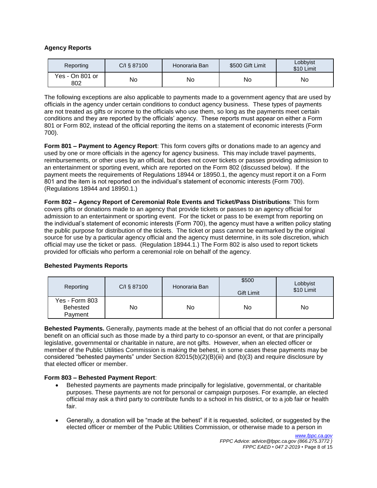#### **Agency Reports**

| Reporting              | C/I § 87100 | Honoraria Ban | \$500 Gift Limit | Lobbyist<br>\$10 Limit |
|------------------------|-------------|---------------|------------------|------------------------|
| Yes - On 801 or<br>802 | No          | No            | No               | No                     |

The following exceptions are also applicable to payments made to a government agency that are used by officials in the agency under certain conditions to conduct agency business. These types of payments are not treated as gifts or income to the officials who use them, so long as the payments meet certain conditions and they are reported by the officials' agency. These reports must appear on either a Form 801 or Form 802, instead of the official reporting the items on a statement of economic interests (Form 700).

**Form 801 – Payment to Agency Report**: This form covers gifts or donations made to an agency and used by one or more officials in the agency for agency business. This may include travel payments, reimbursements, or other uses by an official, but does not cover tickets or passes providing admission to an entertainment or sporting event, which are reported on the Form 802 (discussed below). If the payment meets the requirements of Regulations 18944 or 18950.1, the agency must report it on a Form 801 and the item is not reported on the individual's statement of economic interests (Form 700). (Regulations 18944 and 18950.1.)

**Form 802 – Agency Report of Ceremonial Role Events and Ticket/Pass Distributions**: This form covers gifts or donations made to an agency that provide tickets or passes to an agency official for admission to an entertainment or sporting event. For the ticket or pass to be exempt from reporting on the individual's statement of economic interests (Form 700), the agency must have a written policy stating the public purpose for distribution of the tickets. The ticket or pass cannot be earmarked by the original source for use by a particular agency official and the agency must determine, in its sole discretion, which official may use the ticket or pass. (Regulation 18944.1.) The Form 802 is also used to report tickets provided for officials who perform a ceremonial role on behalf of the agency.

| Reporting                                    | C/I § 87100 | Honoraria Ban | \$500<br>Gift Limit | Lobbyist<br>\$10 Limit |
|----------------------------------------------|-------------|---------------|---------------------|------------------------|
| Yes - Form 803<br><b>Behested</b><br>Payment | No          | No            | No                  | No                     |

#### **Behested Payments Reports**

**Behested Payments.** Generally, payments made at the behest of an official that do not confer a personal benefit on an official such as those made by a third party to co-sponsor an event, or that are principally legislative, governmental or charitable in nature, are not gifts. However, when an elected officer or member of the Public Utilities Commission is making the behest, in some cases these payments may be considered "behested payments" under Section 82015(b)(2)(B)(iii) and (b)(3) and require disclosure by that elected officer or member.

#### **Form 803 – Behested Payment Report**:

- Behested payments are payments made principally for legislative, governmental, or charitable purposes. These payments are not for personal or campaign purposes. For example, an elected official may ask a third party to contribute funds to a school in his district, or to a job fair or health fair.
- Generally, a donation will be "made at the behest" if it is requested, solicited, or suggested by the elected officer or member of the Public Utilities Commission, or otherwise made to a person in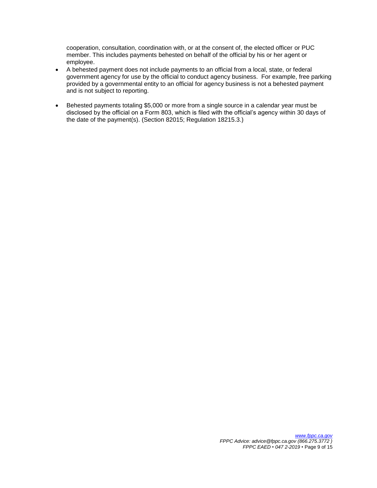cooperation, consultation, coordination with, or at the consent of, the elected officer or PUC member. This includes payments behested on behalf of the official by his or her agent or employee.

- A behested payment does not include payments to an official from a local, state, or federal government agency for use by the official to conduct agency business. For example, free parking provided by a governmental entity to an official for agency business is not a behested payment and is not subject to reporting.
- Behested payments totaling \$5,000 or more from a single source in a calendar year must be disclosed by the official on a Form 803, which is filed with the official's agency within 30 days of the date of the payment(s). (Section 82015; Regulation 18215.3.)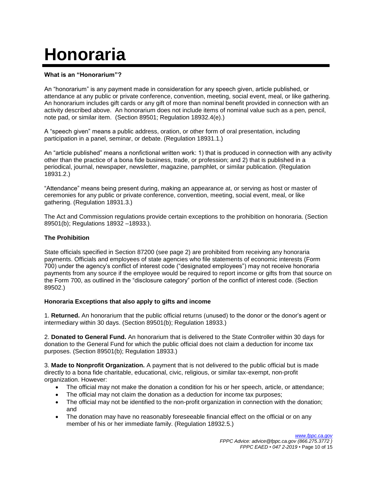# **Honoraria**

#### **What is an "Honorarium"?**

An "honorarium" is any payment made in consideration for any speech given, article published, or attendance at any public or private conference, convention, meeting, social event, meal, or like gathering. An honorarium includes gift cards or any gift of more than nominal benefit provided in connection with an activity described above. An honorarium does not include items of nominal value such as a pen, pencil, note pad, or similar item. (Section 89501; Regulation 18932.4(e).)

A "speech given" means a public address, oration, or other form of oral presentation, including participation in a panel, seminar, or debate. (Regulation 18931.1.)

An "article published" means a nonfictional written work: 1) that is produced in connection with any activity other than the practice of a bona fide business, trade, or profession; and 2) that is published in a periodical, journal, newspaper, newsletter, magazine, pamphlet, or similar publication. (Regulation 18931.2.)

"Attendance" means being present during, making an appearance at, or serving as host or master of ceremonies for any public or private conference, convention, meeting, social event, meal, or like gathering. (Regulation 18931.3.)

The Act and Commission regulations provide certain exceptions to the prohibition on honoraria. (Section 89501(b); Regulations 18932 –18933.).

#### **The Prohibition**

State officials specified in Section 87200 (see page 2) are prohibited from receiving any honoraria payments. Officials and employees of state agencies who file statements of economic interests (Form 700) under the agency's conflict of interest code ("designated employees") may not receive honoraria payments from any source if the employee would be required to report income or gifts from that source on the Form 700, as outlined in the "disclosure category" portion of the conflict of interest code. (Section 89502.)

#### **Honoraria Exceptions that also apply to gifts and income**

1. **Returned.** An honorarium that the public official returns (unused) to the donor or the donor's agent or intermediary within 30 days. (Section 89501(b); Regulation 18933.)

2. **Donated to General Fund.** An honorarium that is delivered to the State Controller within 30 days for donation to the General Fund for which the public official does not claim a deduction for income tax purposes. (Section 89501(b); Regulation 18933.)

3. **Made to Nonprofit Organization.** A payment that is not delivered to the public official but is made directly to a bona fide charitable, educational, civic, religious, or similar tax-exempt, non-profit organization. However:

- The official may not make the donation a condition for his or her speech, article, or attendance;
- The official may not claim the donation as a deduction for income tax purposes;
- The official may not be identified to the non-profit organization in connection with the donation; and
- The donation may have no reasonably foreseeable financial effect on the official or on any member of his or her immediate family. (Regulation 18932.5.)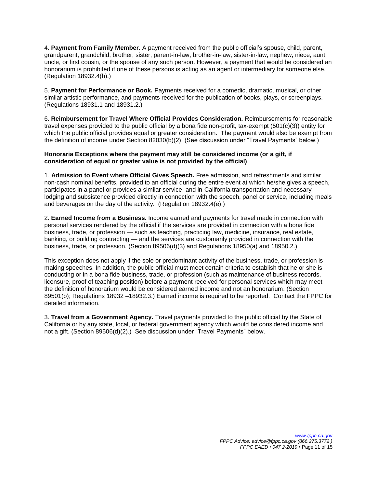4. **Payment from Family Member.** A payment received from the public official's spouse, child, parent, grandparent, grandchild, brother, sister, parent-in-law, brother-in-law, sister-in-law, nephew, niece, aunt, uncle, or first cousin, or the spouse of any such person. However, a payment that would be considered an honorarium is prohibited if one of these persons is acting as an agent or intermediary for someone else. (Regulation 18932.4(b).)

5. **Payment for Performance or Book.** Payments received for a comedic, dramatic, musical, or other similar artistic performance, and payments received for the publication of books, plays, or screenplays. (Regulations 18931.1 and 18931.2.)

6. **Reimbursement for Travel Where Official Provides Consideration.** Reimbursements for reasonable travel expenses provided to the public official by a bona fide non-profit, tax-exempt (501(c)(3)) entity for which the public official provides equal or greater consideration. The payment would also be exempt from the definition of income under Section 82030(b)(2). (See discussion under "Travel Payments" below.)

#### **Honoraria Exceptions where the payment may still be considered income (or a gift, if consideration of equal or greater value is not provided by the official)**

1. **Admission to Event where Official Gives Speech.** Free admission, and refreshments and similar non-cash nominal benefits, provided to an official during the entire event at which he/she gives a speech, participates in a panel or provides a similar service, and in-California transportation and necessary lodging and subsistence provided directly in connection with the speech, panel or service, including meals and beverages on the day of the activity. (Regulation 18932.4(e).)

2. **Earned Income from a Business.** Income earned and payments for travel made in connection with personal services rendered by the official if the services are provided in connection with a bona fide business, trade, or profession — such as teaching, practicing law, medicine, insurance, real estate, banking, or building contracting — and the services are customarily provided in connection with the business, trade, or profession. (Section 89506(d)(3) and Regulations 18950(a) and 18950.2.)

This exception does not apply if the sole or predominant activity of the business, trade, or profession is making speeches. In addition, the public official must meet certain criteria to establish that he or she is conducting or in a bona fide business, trade, or profession (such as maintenance of business records, licensure, proof of teaching position) before a payment received for personal services which may meet the definition of honorarium would be considered earned income and not an honorarium. (Section 89501(b); Regulations 18932 –18932.3.) Earned income is required to be reported. Contact the FPPC for detailed information.

3. **Travel from a Government Agency.** Travel payments provided to the public official by the State of California or by any state, local, or federal government agency which would be considered income and not a gift. (Section 89506(d)(2).) See discussion under "Travel Payments" below.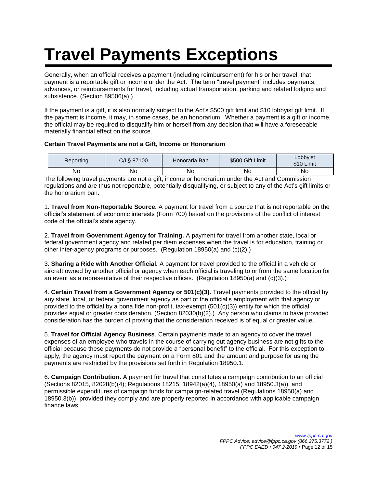# **Travel Payments Exceptions**

Generally, when an official receives a payment (including reimbursement) for his or her travel, that payment is a reportable gift or income under the Act. The term "travel payment" includes payments, advances, or reimbursements for travel, including actual transportation, parking and related lodging and subsistence. (Section 89506(a).)

If the payment is a gift, it is also normally subject to the Act's \$500 gift limit and \$10 lobbyist gift limit. If the payment is income, it may, in some cases, be an honorarium. Whether a payment is a gift or income, the official may be required to disqualify him or herself from any decision that will have a foreseeable materially financial effect on the source.

#### **Certain Travel Payments are not a Gift, Income or Honorarium**

| Reporting | C/I § 87100 | Honoraria Ban | \$500 Gift Limit | Lobbyist<br>\$10 Limit |
|-----------|-------------|---------------|------------------|------------------------|
| No        | No          | No            | No               | No                     |

The following travel payments are not a gift, income or honorarium under the Act and Commission regulations and are thus not reportable, potentially disqualifying, or subject to any of the Act's gift limits or the honorarium ban.

1. **Travel from Non-Reportable Source.** A payment for travel from a source that is not reportable on the official's statement of economic interests (Form 700) based on the provisions of the conflict of interest code of the official's state agency.

2. **Travel from Government Agency for Training.** A payment for travel from another state, local or federal government agency and related per diem expenses when the travel is for education, training or other inter-agency programs or purposes. (Regulation 18950(a) and (c)(2).)

3. **Sharing a Ride with Another Official.** A payment for travel provided to the official in a vehicle or aircraft owned by another official or agency when each official is traveling to or from the same location for an event as a representative of their respective offices. (Regulation 18950(a) and (c)(3).)

4. **Certain Travel from a Government Agency or 501(c)(3).** Travel payments provided to the official by any state, local, or federal government agency as part of the official's employment with that agency or provided to the official by a bona fide non-profit, tax-exempt (501(c)(3)) entity for which the official provides equal or greater consideration. (Section 82030(b)(2).) Any person who claims to have provided consideration has the burden of proving that the consideration received is of equal or greater value.

5. **Travel for Official Agency Business**. Certain payments made to an agency to cover the travel expenses of an employee who travels in the course of carrying out agency business are not gifts to the official because these payments do not provide a "personal benefit" to the official. For this exception to apply, the agency must report the payment on a Form 801 and the amount and purpose for using the payments are restricted by the provisions set forth in Regulation 18950.1.

6. **Campaign Contribution.** A payment for travel that constitutes a campaign contribution to an official (Sections 82015, 82028(b)(4); Regulations 18215, 18942(a)(4), 18950(a) and 18950.3(a)), and permissible expenditures of campaign funds for campaign-related travel (Regulations 18950(a) and 18950.3(b)), provided they comply and are properly reported in accordance with applicable campaign finance laws.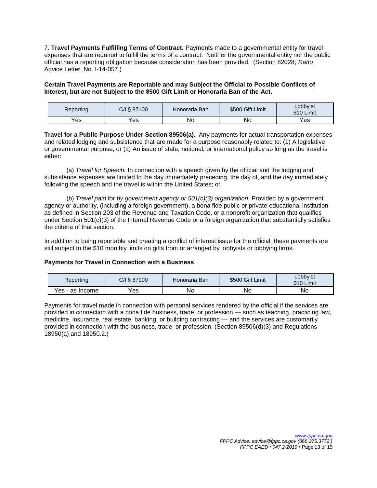7. **Travel Payments Fulfilling Terms of Contract.** Payments made to a governmental entity for travel expenses that are required to fulfill the terms of a contract. Neither the governmental entity nor the public official has a reporting obligation because consideration has been provided. (Section 82028; *Ratto* Advice Letter, No. I-14-057.)

#### **Certain Travel Payments are Reportable and may Subject the Official to Possible Conflicts of Interest, but are not Subject to the \$500 Gift Limit or Honoraria Ban of the Act.**

| Reporting | C/I § 87100 | Honoraria Ban | \$500 Gift Limit | Lobbyist<br>\$10 Limit |
|-----------|-------------|---------------|------------------|------------------------|
| Yes       | Yes         | No            | Νo               | Yes                    |

**Travel for a Public Purpose Under Section 89506(a).** Any payments for actual transportation expenses and related lodging and subsistence that are made for a purpose reasonably related to: (1) A legislative or governmental purpose, or (2) An issue of state, national, or international policy so long as the travel is either:

(a) *Travel for Speech.* In connection with a speech given by the official and the lodging and subsistence expenses are limited to the day immediately preceding, the day of, and the day immediately following the speech and the travel is within the United States; or

(b) *Travel paid for by government agency or 501(c)(3) organization.* Provided by a government agency or authority, (including a foreign government), a bona fide public or private educational institution as defined in Section 203 of the Revenue and Taxation Code, or a nonprofit organization that qualifies under Section 501(c)(3) of the Internal Revenue Code or a foreign organization that substantially satisfies the criteria of that section.

In addition to being reportable and creating a conflict of interest issue for the official, these payments are still subject to the \$10 monthly limits on gifts from or arranged by lobbyists or lobbying firms.

#### **Payments for Travel in Connection with a Business**

| Reporting       | C/I § 87100 | Honoraria Ban | \$500 Gift Limit | Lobbyist<br>\$10 Limit |
|-----------------|-------------|---------------|------------------|------------------------|
| Yes - as Income | Yes         | No.           | No               | No                     |

Payments for travel made in connection with personal services rendered by the official if the services are provided in connection with a bona fide business, trade, or profession — such as teaching, practicing law, medicine, insurance, real estate, banking, or building contracting — and the services are customarily provided in connection with the business, trade, or profession. (Section 89506(d)(3) and Regulations 18950(a) and 18950.2.)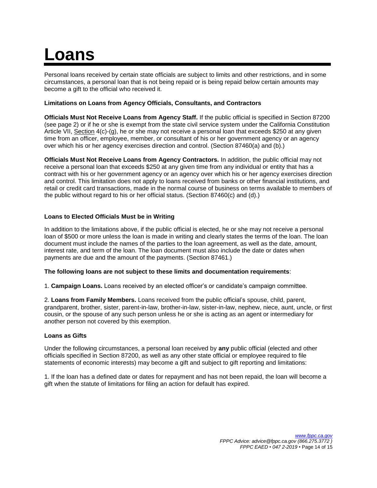## **Loans**

Personal loans received by certain state officials are subject to limits and other restrictions, and in some circumstances, a personal loan that is not being repaid or is being repaid below certain amounts may become a gift to the official who received it.

#### **Limitations on Loans from Agency Officials, Consultants, and Contractors**

**Officials Must Not Receive Loans from Agency Staff.** If the public official is specified in Section 87200 (see page 2) or if he or she is exempt from the state civil service system under the California Constitution Article VII, Section 4(c)-(g), he or she may not receive a personal loan that exceeds \$250 at any given time from an officer, employee, member, or consultant of his or her government agency or an agency over which his or her agency exercises direction and control. (Section 87460(a) and (b).)

**Officials Must Not Receive Loans from Agency Contractors.** In addition, the public official may not receive a personal loan that exceeds \$250 at any given time from any individual or entity that has a contract with his or her government agency or an agency over which his or her agency exercises direction and control. This limitation does not apply to loans received from banks or other financial institutions, and retail or credit card transactions, made in the normal course of business on terms available to members of the public without regard to his or her official status. (Section 87460(c) and (d).)

#### **Loans to Elected Officials Must be in Writing**

In addition to the limitations above, if the public official is elected, he or she may not receive a personal loan of \$500 or more unless the loan is made in writing and clearly states the terms of the loan. The loan document must include the names of the parties to the loan agreement, as well as the date, amount, interest rate, and term of the loan. The loan document must also include the date or dates when payments are due and the amount of the payments. (Section 87461.)

#### **The following loans are not subject to these limits and documentation requirements**:

1. **Campaign Loans.** Loans received by an elected officer's or candidate's campaign committee.

2. **Loans from Family Members.** Loans received from the public official's spouse, child, parent, grandparent, brother, sister, parent-in-law, brother-in-law, sister-in-law, nephew, niece, aunt, uncle, or first cousin, or the spouse of any such person unless he or she is acting as an agent or intermediary for another person not covered by this exemption.

#### **Loans as Gifts**

Under the following circumstances, a personal loan received by **any** public official (elected and other officials specified in Section 87200, as well as any other state official or employee required to file statements of economic interests) may become a gift and subject to gift reporting and limitations:

1. If the loan has a defined date or dates for repayment and has not been repaid, the loan will become a gift when the statute of limitations for filing an action for default has expired.